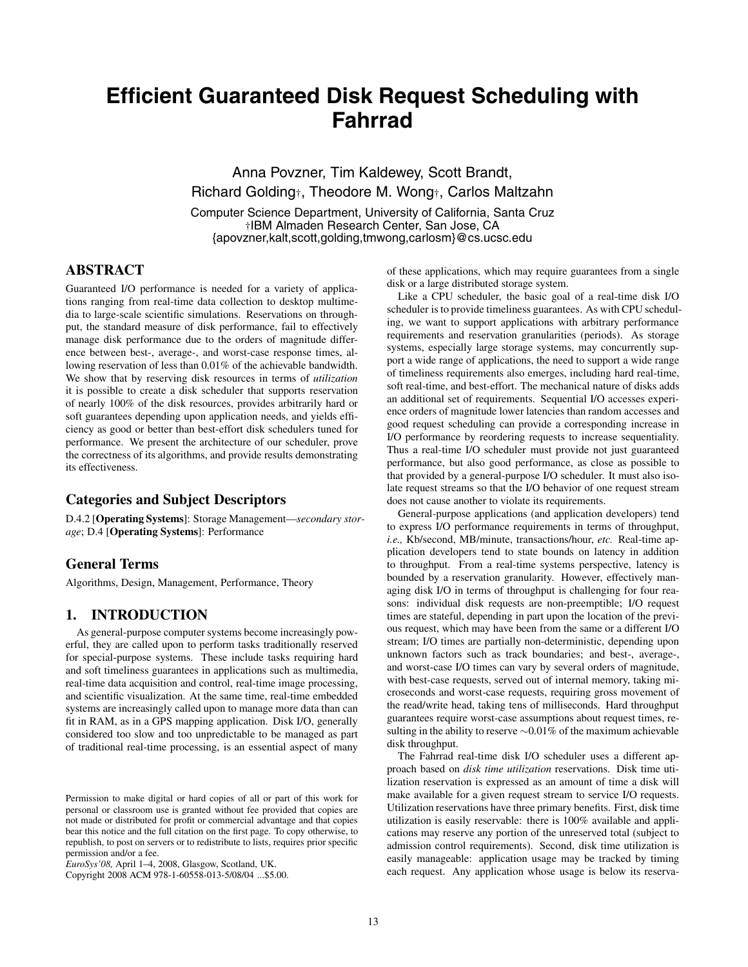# **Efficient Guaranteed Disk Request Scheduling with Fahrrad**

Anna Povzner, Tim Kaldewey, Scott Brandt, Richard Golding†, Theodore M. Wong†, Carlos Maltzahn

Computer Science Department, University of California, Santa Cruz †IBM Almaden Research Center, San Jose, CA {apovzner,kalt,scott,golding,tmwong,carlosm}@cs.ucsc.edu

# **ABSTRACT**

Guaranteed I/O performance is needed for a variety of applications ranging from real-time data collection to desktop multimedia to large-scale scientific simulations. Reservations on throughput, the standard measure of disk performance, fail to effectively manage disk performance due to the orders of magnitude difference between best-, average-, and worst-case response times, allowing reservation of less than 0.01% of the achievable bandwidth. We show that by reserving disk resources in terms of *utilization* it is possible to create a disk scheduler that supports reservation of nearly 100% of the disk resources, provides arbitrarily hard or soft guarantees depending upon application needs, and yields efficiency as good or better than best-effort disk schedulers tuned for performance. We present the architecture of our scheduler, prove the correctness of its algorithms, and provide results demonstrating its effectiveness.

# **Categories and Subject Descriptors**

D.4.2 [**Operating Systems**]: Storage Management—*secondary storage*; D.4 [**Operating Systems**]: Performance

## **General Terms**

Algorithms, Design, Management, Performance, Theory

# **1. INTRODUCTION**

As general-purpose computer systems become increasingly powerful, they are called upon to perform tasks traditionally reserved for special-purpose systems. These include tasks requiring hard and soft timeliness guarantees in applications such as multimedia, real-time data acquisition and control, real-time image processing, and scientific visualization. At the same time, real-time embedded systems are increasingly called upon to manage more data than can fit in RAM, as in a GPS mapping application. Disk I/O, generally considered too slow and too unpredictable to be managed as part of traditional real-time processing, is an essential aspect of many

Copyright 2008 ACM 978-1-60558-013-5/08/04 ...\$5.00.

of these applications, which may require guarantees from a single disk or a large distributed storage system.

Like a CPU scheduler, the basic goal of a real-time disk I/O scheduler is to provide timeliness guarantees. As with CPU scheduling, we want to support applications with arbitrary performance requirements and reservation granularities (periods). As storage systems, especially large storage systems, may concurrently support a wide range of applications, the need to support a wide range of timeliness requirements also emerges, including hard real-time, soft real-time, and best-effort. The mechanical nature of disks adds an additional set of requirements. Sequential I/O accesses experience orders of magnitude lower latencies than random accesses and good request scheduling can provide a corresponding increase in I/O performance by reordering requests to increase sequentiality. Thus a real-time I/O scheduler must provide not just guaranteed performance, but also good performance, as close as possible to that provided by a general-purpose I/O scheduler. It must also isolate request streams so that the I/O behavior of one request stream does not cause another to violate its requirements.

General-purpose applications (and application developers) tend to express I/O performance requirements in terms of throughput, *i.e.,* Kb/second, MB/minute, transactions/hour, *etc.* Real-time application developers tend to state bounds on latency in addition to throughput. From a real-time systems perspective, latency is bounded by a reservation granularity. However, effectively managing disk I/O in terms of throughput is challenging for four reasons: individual disk requests are non-preemptible; I/O request times are stateful, depending in part upon the location of the previous request, which may have been from the same or a different I/O stream; I/O times are partially non-deterministic, depending upon unknown factors such as track boundaries; and best-, average-, and worst-case I/O times can vary by several orders of magnitude, with best-case requests, served out of internal memory, taking microseconds and worst-case requests, requiring gross movement of the read/write head, taking tens of milliseconds. Hard throughput guarantees require worst-case assumptions about request times, resulting in the ability to reserve ∼0.01% of the maximum achievable disk throughput.

The Fahrrad real-time disk I/O scheduler uses a different approach based on *disk time utilization* reservations. Disk time utilization reservation is expressed as an amount of time a disk will make available for a given request stream to service I/O requests. Utilization reservations have three primary benefits. First, disk time utilization is easily reservable: there is 100% available and applications may reserve any portion of the unreserved total (subject to admission control requirements). Second, disk time utilization is easily manageable: application usage may be tracked by timing each request. Any application whose usage is below its reserva-

Permission to make digital or hard copies of all or part of this work for personal or classroom use is granted without fee provided that copies are not made or distributed for profit or commercial advantage and that copies bear this notice and the full citation on the first page. To copy otherwise, to republish, to post on servers or to redistribute to lists, requires prior specific permission and/or a fee.

*EuroSys'08,* April 1–4, 2008, Glasgow, Scotland, UK.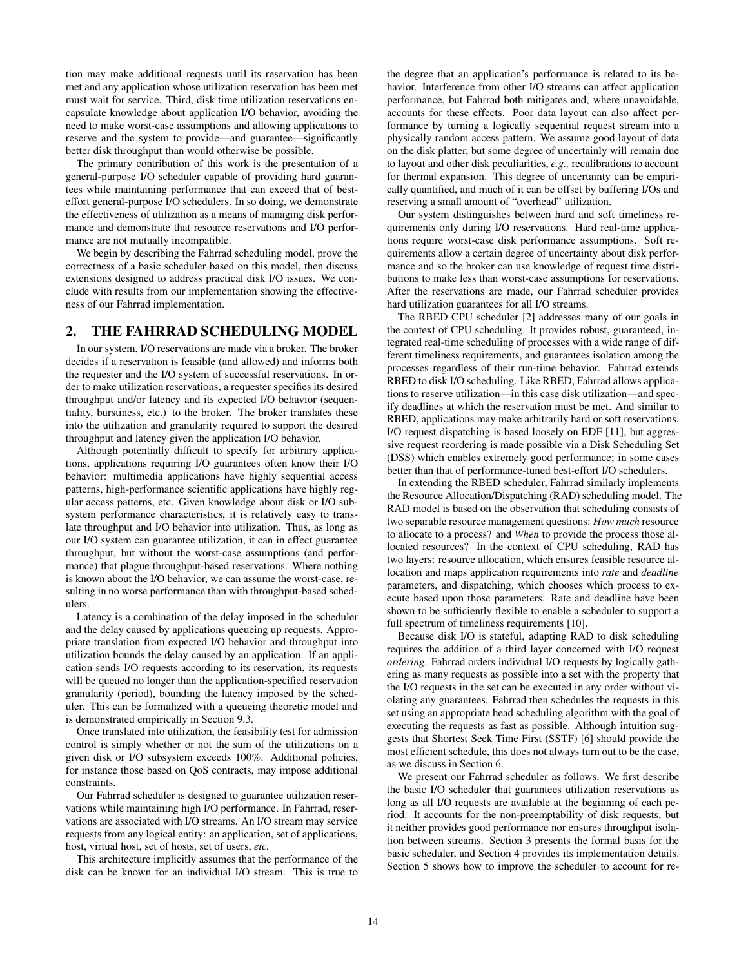tion may make additional requests until its reservation has been met and any application whose utilization reservation has been met must wait for service. Third, disk time utilization reservations encapsulate knowledge about application I/O behavior, avoiding the need to make worst-case assumptions and allowing applications to reserve and the system to provide—and guarantee—significantly better disk throughput than would otherwise be possible.

The primary contribution of this work is the presentation of a general-purpose I/O scheduler capable of providing hard guarantees while maintaining performance that can exceed that of besteffort general-purpose I/O schedulers. In so doing, we demonstrate the effectiveness of utilization as a means of managing disk performance and demonstrate that resource reservations and I/O performance are not mutually incompatible.

We begin by describing the Fahrrad scheduling model, prove the correctness of a basic scheduler based on this model, then discuss extensions designed to address practical disk I/O issues. We conclude with results from our implementation showing the effectiveness of our Fahrrad implementation.

# **2. THE FAHRRAD SCHEDULING MODEL**

In our system, I/O reservations are made via a broker. The broker decides if a reservation is feasible (and allowed) and informs both the requester and the I/O system of successful reservations. In order to make utilization reservations, a requester specifies its desired throughput and/or latency and its expected I/O behavior (sequentiality, burstiness, etc.) to the broker. The broker translates these into the utilization and granularity required to support the desired throughput and latency given the application I/O behavior.

Although potentially difficult to specify for arbitrary applications, applications requiring I/O guarantees often know their I/O behavior: multimedia applications have highly sequential access patterns, high-performance scientific applications have highly regular access patterns, etc. Given knowledge about disk or I/O subsystem performance characteristics, it is relatively easy to translate throughput and I/O behavior into utilization. Thus, as long as our I/O system can guarantee utilization, it can in effect guarantee throughput, but without the worst-case assumptions (and performance) that plague throughput-based reservations. Where nothing is known about the I/O behavior, we can assume the worst-case, resulting in no worse performance than with throughput-based schedulers.

Latency is a combination of the delay imposed in the scheduler and the delay caused by applications queueing up requests. Appropriate translation from expected I/O behavior and throughput into utilization bounds the delay caused by an application. If an application sends I/O requests according to its reservation, its requests will be queued no longer than the application-specified reservation granularity (period), bounding the latency imposed by the scheduler. This can be formalized with a queueing theoretic model and is demonstrated empirically in Section 9.3.

Once translated into utilization, the feasibility test for admission control is simply whether or not the sum of the utilizations on a given disk or I/O subsystem exceeds 100%. Additional policies, for instance those based on QoS contracts, may impose additional constraints.

Our Fahrrad scheduler is designed to guarantee utilization reservations while maintaining high I/O performance. In Fahrrad, reservations are associated with I/O streams. An I/O stream may service requests from any logical entity: an application, set of applications, host, virtual host, set of hosts, set of users, *etc.*

This architecture implicitly assumes that the performance of the disk can be known for an individual I/O stream. This is true to

the degree that an application's performance is related to its behavior. Interference from other I/O streams can affect application performance, but Fahrrad both mitigates and, where unavoidable, accounts for these effects. Poor data layout can also affect performance by turning a logically sequential request stream into a physically random access pattern. We assume good layout of data on the disk platter, but some degree of uncertainly will remain due to layout and other disk peculiarities, *e.g.,* recalibrations to account for thermal expansion. This degree of uncertainty can be empirically quantified, and much of it can be offset by buffering I/Os and reserving a small amount of "overhead" utilization.

Our system distinguishes between hard and soft timeliness requirements only during I/O reservations. Hard real-time applications require worst-case disk performance assumptions. Soft requirements allow a certain degree of uncertainty about disk performance and so the broker can use knowledge of request time distributions to make less than worst-case assumptions for reservations. After the reservations are made, our Fahrrad scheduler provides hard utilization guarantees for all I/O streams.

The RBED CPU scheduler [2] addresses many of our goals in the context of CPU scheduling. It provides robust, guaranteed, integrated real-time scheduling of processes with a wide range of different timeliness requirements, and guarantees isolation among the processes regardless of their run-time behavior. Fahrrad extends RBED to disk I/O scheduling. Like RBED, Fahrrad allows applications to reserve utilization—in this case disk utilization—and specify deadlines at which the reservation must be met. And similar to RBED, applications may make arbitrarily hard or soft reservations. I/O request dispatching is based loosely on EDF [11], but aggressive request reordering is made possible via a Disk Scheduling Set (DSS) which enables extremely good performance; in some cases better than that of performance-tuned best-effort I/O schedulers.

In extending the RBED scheduler, Fahrrad similarly implements the Resource Allocation/Dispatching (RAD) scheduling model. The RAD model is based on the observation that scheduling consists of two separable resource management questions: *How much* resource to allocate to a process? and *When* to provide the process those allocated resources? In the context of CPU scheduling, RAD has two layers: resource allocation, which ensures feasible resource allocation and maps application requirements into *rate* and *deadline* parameters, and dispatching, which chooses which process to execute based upon those parameters. Rate and deadline have been shown to be sufficiently flexible to enable a scheduler to support a full spectrum of timeliness requirements [10].

Because disk I/O is stateful, adapting RAD to disk scheduling requires the addition of a third layer concerned with I/O request *ordering*. Fahrrad orders individual I/O requests by logically gathering as many requests as possible into a set with the property that the I/O requests in the set can be executed in any order without violating any guarantees. Fahrrad then schedules the requests in this set using an appropriate head scheduling algorithm with the goal of executing the requests as fast as possible. Although intuition suggests that Shortest Seek Time First (SSTF) [6] should provide the most efficient schedule, this does not always turn out to be the case, as we discuss in Section 6.

We present our Fahrrad scheduler as follows. We first describe the basic I/O scheduler that guarantees utilization reservations as long as all I/O requests are available at the beginning of each period. It accounts for the non-preemptability of disk requests, but it neither provides good performance nor ensures throughput isolation between streams. Section 3 presents the formal basis for the basic scheduler, and Section 4 provides its implementation details. Section 5 shows how to improve the scheduler to account for re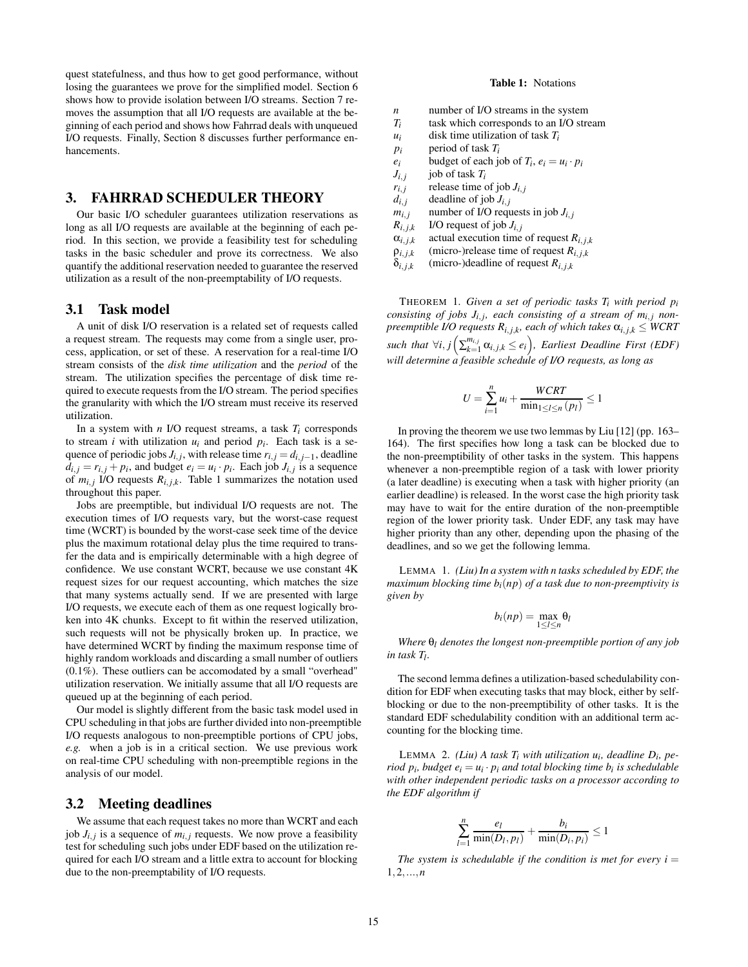quest statefulness, and thus how to get good performance, without losing the guarantees we prove for the simplified model. Section 6 shows how to provide isolation between I/O streams. Section 7 removes the assumption that all I/O requests are available at the beginning of each period and shows how Fahrrad deals with unqueued I/O requests. Finally, Section 8 discusses further performance enhancements.

# **3. FAHRRAD SCHEDULER THEORY**

Our basic I/O scheduler guarantees utilization reservations as long as all I/O requests are available at the beginning of each period. In this section, we provide a feasibility test for scheduling tasks in the basic scheduler and prove its correctness. We also quantify the additional reservation needed to guarantee the reserved utilization as a result of the non-preemptability of I/O requests.

# **3.1 Task model**

A unit of disk I/O reservation is a related set of requests called a request stream. The requests may come from a single user, process, application, or set of these. A reservation for a real-time I/O stream consists of the *disk time utilization* and the *period* of the stream. The utilization specifies the percentage of disk time required to execute requests from the I/O stream. The period specifies the granularity with which the I/O stream must receive its reserved utilization.

In a system with *n* I/O request streams, a task *Ti* corresponds to stream *i* with utilization  $u_i$  and period  $p_i$ . Each task is a sequence of periodic jobs  $J_{i,j}$ , with release time  $r_{i,j} = d_{i,j-1}$ , deadline  $d_{i,j} = r_{i,j} + p_i$ , and budget  $e_i = u_i \cdot p_i$ . Each job  $J_{i,j}$  is a sequence of  $m_{i,j}$  I/O requests  $R_{i,j,k}$ . Table 1 summarizes the notation used throughout this paper.

Jobs are preemptible, but individual I/O requests are not. The execution times of I/O requests vary, but the worst-case request time (WCRT) is bounded by the worst-case seek time of the device plus the maximum rotational delay plus the time required to transfer the data and is empirically determinable with a high degree of confidence. We use constant WCRT, because we use constant 4K request sizes for our request accounting, which matches the size that many systems actually send. If we are presented with large I/O requests, we execute each of them as one request logically broken into 4K chunks. Except to fit within the reserved utilization, such requests will not be physically broken up. In practice, we have determined WCRT by finding the maximum response time of highly random workloads and discarding a small number of outliers (0.1%). These outliers can be accomodated by a small "overhead" utilization reservation. We initially assume that all I/O requests are queued up at the beginning of each period.

Our model is slightly different from the basic task model used in CPU scheduling in that jobs are further divided into non-preemptible I/O requests analogous to non-preemptible portions of CPU jobs, *e.g.* when a job is in a critical section. We use previous work on real-time CPU scheduling with non-preemptible regions in the analysis of our model.

### **3.2 Meeting deadlines**

We assume that each request takes no more than WCRT and each job  $J_{i,j}$  is a sequence of  $m_{i,j}$  requests. We now prove a feasibility test for scheduling such jobs under EDF based on the utilization required for each I/O stream and a little extra to account for blocking due to the non-preemptability of I/O requests.

#### **Table 1:** Notations

- *n* number of I/O streams in the system
- *Ti* task which corresponds to an I/O stream
- $u_i$  disk time utilization of task  $T_i$
- *pi* period of task *Ti*
- *e<sub>i</sub>* budget of each job of  $T_i$ ,  $e_i = u_i \cdot p_i$ <br>*J<sub>i,j</sub>* job of task  $T_i$
- *Ji*, *<sup>j</sup>* job of task *Ti*
- $r_{i,j}$  release time of job  $J_{i,j}$ <br>*d<sub>i, j</sub>* deadline of job  $J_{i,j}$
- 
- $d_{i,j}$  deadline of job  $J_{i,j}$ <br> $m_{i,j}$  number of I/O requ number of I/O requests in job  $J_{i,j}$
- $R_{i,j,k}$  I/O request of job  $J_{i,j}$
- $\alpha_{i,j,k}$  actual execution time of request  $R_{i,j,k}$
- $\rho_{i,j,k}$  (micro-)release time of request  $R_{i,j,k}$ <br>  $\delta_{i,j,k}$  (micro-)deadline of request  $R_{i,j,k}$
- $(micro-)deadline of request  $R_{i,j,k}$$

THEOREM 1. *Given a set of periodic tasks Ti with period pi consisting of jobs*  $J_{i,j}$ *, each consisting of a stream of*  $m_{i,j}$  *nonpreemptible I/O requests*  $R_{i,j,k}$ , each of which takes  $\alpha_{i,j,k} \leq WCRT$  $\mathcal{L}$  such that  $\forall i, j$   $\left( \sum_{k=1}^{m_{i,j}} \alpha_{i,j,k} \leq e_i \right)$ , Earliest Deadline First (EDF) *will determine a feasible schedule of I/O requests, as long as*

$$
U = \sum_{i=1}^{n} u_i + \frac{WCRT}{\min_{1 \leq l \leq n} (p_l)} \leq 1
$$

In proving the theorem we use two lemmas by Liu [12] (pp. 163– 164). The first specifies how long a task can be blocked due to the non-preemptibility of other tasks in the system. This happens whenever a non-preemptible region of a task with lower priority (a later deadline) is executing when a task with higher priority (an earlier deadline) is released. In the worst case the high priority task may have to wait for the entire duration of the non-preemptible region of the lower priority task. Under EDF, any task may have higher priority than any other, depending upon the phasing of the deadlines, and so we get the following lemma.

LEMMA 1. *(Liu) In a system with n tasks scheduled by EDF, the maximum blocking time bi*(*np*) *of a task due to non-preemptivity is given by*

$$
b_i(np) = \max_{1 \leq l \leq n} \theta_l
$$

*Where* θ*<sup>l</sup> denotes the longest non-preemptible portion of any job in task Tl.*

The second lemma defines a utilization-based schedulability condition for EDF when executing tasks that may block, either by selfblocking or due to the non-preemptibility of other tasks. It is the standard EDF schedulability condition with an additional term accounting for the blocking time.

LEMMA 2. *(Liu)* A task  $T_i$  with utilization  $u_i$ , deadline  $D_i$ , pe*riod*  $p_i$ *, budget*  $e_i = u_i \cdot p_i$  *and total blocking time*  $b_i$  *is schedulable with other independent periodic tasks on a processor according to the EDF algorithm if*

$$
\sum_{l=1}^{n} \frac{e_l}{\min(D_l, p_l)} + \frac{b_i}{\min(D_i, p_i)} \le 1
$$

The system is schedulable if the condition is met for every  $i =$ 1,2,...,*n*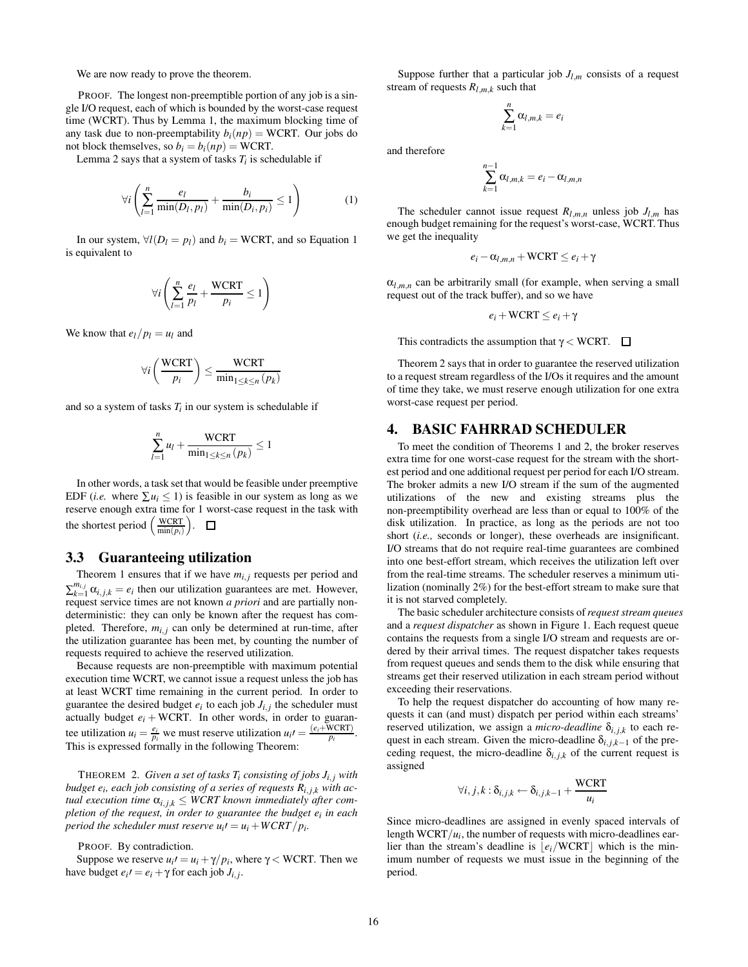We are now ready to prove the theorem.

PROOF. The longest non-preemptible portion of any job is a single I/O request, each of which is bounded by the worst-case request time (WCRT). Thus by Lemma 1, the maximum blocking time of any task due to non-preemptability  $b_i(np) = WCRT$ . Our jobs do not block themselves, so  $b_i = b_i(np) = WCRT$ .

Lemma 2 says that a system of tasks  $T_i$  is schedulable if

$$
\forall i \left( \sum_{l=1}^{n} \frac{e_l}{\min(D_l, p_l)} + \frac{b_i}{\min(D_i, p_i)} \le 1 \right) \tag{1}
$$

In our system,  $\forall l(D_l = p_l)$  and  $b_i = \text{WCRT}$ , and so Equation 1 is equivalent to

$$
\forall i \left( \sum_{l=1}^{n} \frac{e_l}{p_l} + \frac{\text{WCRT}}{p_i} \le 1 \right)
$$

We know that  $e_l/p_l = u_l$  and

$$
\forall i \left(\frac{\text{WCRT}}{p_i}\right) \leq \frac{\text{WCRT}}{\min_{1 \leq k \leq n} (p_k)}
$$

and so a system of tasks  $T_i$  in our system is schedulable if

$$
\sum_{l=1}^{n} u_l + \frac{\text{WCRT}}{\min_{1 \leq k \leq n} (p_k)} \leq 1
$$

In other words, a task set that would be feasible under preemptive EDF (*i.e.* where  $\sum u_i \leq 1$ ) is feasible in our system as long as we reserve enough extra time for 1 worst-case request in the task with the shortest period  $\left(\frac{\text{WCRT}}{\text{min}(p_i)}\right)$ " .

#### **3.3 Guaranteeing utilization**

Theorem 1 ensures that if we have  $m_{i,j}$  requests per period and  $\sum_{k=1}^{m_{i,j}} \alpha_{i,j,k} = e_i$  then our utilization guarantees are met. However, request service times are not known *a priori* and are partially nondeterministic: they can only be known after the request has completed. Therefore,  $m_{i,j}$  can only be determined at run-time, after the utilization guarantee has been met, by counting the number of requests required to achieve the reserved utilization.

Because requests are non-preemptible with maximum potential execution time WCRT, we cannot issue a request unless the job has at least WCRT time remaining in the current period. In order to guarantee the desired budget  $e_i$  to each job  $J_{i,j}$  the scheduler must actually budget  $e_i$  + WCRT. In other words, in order to guarantee utilization  $u_i = \frac{e_i}{p_i}$  we must reserve utilization  $u_i / \frac{e_i + \text{WCRT}}{p_i}$ . This is expressed formally in the following Theorem:

THEOREM 2. *Given a set of tasks*  $T_i$  *consisting of jobs*  $J_{i,j}$  *with budget ei, each job consisting of a series of requests Ri*, *<sup>j</sup>*,*<sup>k</sup> with actual execution time*  $\alpha_{i,j,k} \leq WCRT$  *known immediately after completion of the request, in order to guarantee the budget ei in each period the scheduler must reserve*  $u_i t = u_i + WCRT/p_i$ *.* 

PROOF. By contradiction.

Suppose we reserve  $u_i t = u_i + \gamma/p_i$ , where  $\gamma$  < WCRT. Then we have budget  $e_i t = e_i + \gamma$  for each job  $J_{i,j}$ .

Suppose further that a particular job  $J_{l,m}$  consists of a request stream of requests  $R_{l,m,k}$  such that

$$
\sum_{k=1}^n \alpha_{l,m,k} = e_i
$$

and therefore

$$
\sum_{k=1}^{n-1} \alpha_{l,m,k} = e_i - \alpha_{l,m,n}
$$

The scheduler cannot issue request  $R_{l,m,n}$  unless job  $J_{l,m}$  has enough budget remaining for the request's worst-case, WCRT. Thus we get the inequality

$$
e_i - \alpha_{l,m,n} + \text{WCRT} \leq e_i + \gamma
$$

 $\alpha$ <sub>l,*m*,*n*</sub> can be arbitrarily small (for example, when serving a small request out of the track buffer), and so we have

$$
e_i + \text{WCRT} \leq e_i + \gamma
$$

This contradicts the assumption that  $\gamma$  < WCRT.  $\Box$ 

Theorem 2 says that in order to guarantee the reserved utilization to a request stream regardless of the I/Os it requires and the amount of time they take, we must reserve enough utilization for one extra worst-case request per period.

# **4. BASIC FAHRRAD SCHEDULER**

To meet the condition of Theorems 1 and 2, the broker reserves extra time for one worst-case request for the stream with the shortest period and one additional request per period for each I/O stream. The broker admits a new I/O stream if the sum of the augmented utilizations of the new and existing streams plus the non-preemptibility overhead are less than or equal to 100% of the disk utilization. In practice, as long as the periods are not too short (*i.e.,* seconds or longer), these overheads are insignificant. I/O streams that do not require real-time guarantees are combined into one best-effort stream, which receives the utilization left over from the real-time streams. The scheduler reserves a minimum utilization (nominally 2%) for the best-effort stream to make sure that it is not starved completely.

The basic scheduler architecture consists of*request stream queues* and a *request dispatcher* as shown in Figure 1. Each request queue contains the requests from a single I/O stream and requests are ordered by their arrival times. The request dispatcher takes requests from request queues and sends them to the disk while ensuring that streams get their reserved utilization in each stream period without exceeding their reservations.

To help the request dispatcher do accounting of how many requests it can (and must) dispatch per period within each streams' reserved utilization, we assign a *micro-deadline*  $\delta_{i,j,k}$  to each request in each stream. Given the micro-deadline  $\delta_{i,j,k-1}$  of the preceding request, the micro-deadline  $\delta_{i,j,k}$  of the current request is assigned

$$
\forall i, j, k: \delta_{i,j,k} \leftarrow \delta_{i,j,k-1} + \frac{\text{WCRT}}{u_i}
$$

Since micro-deadlines are assigned in evenly spaced intervals of length WCRT/ $u_i$ , the number of requests with micro-deadlines earlier than the stream's deadline is  $\left|e_i\middle/ \text{WCRT}\right|$  which is the minimum number of requests we must issue in the beginning of the period.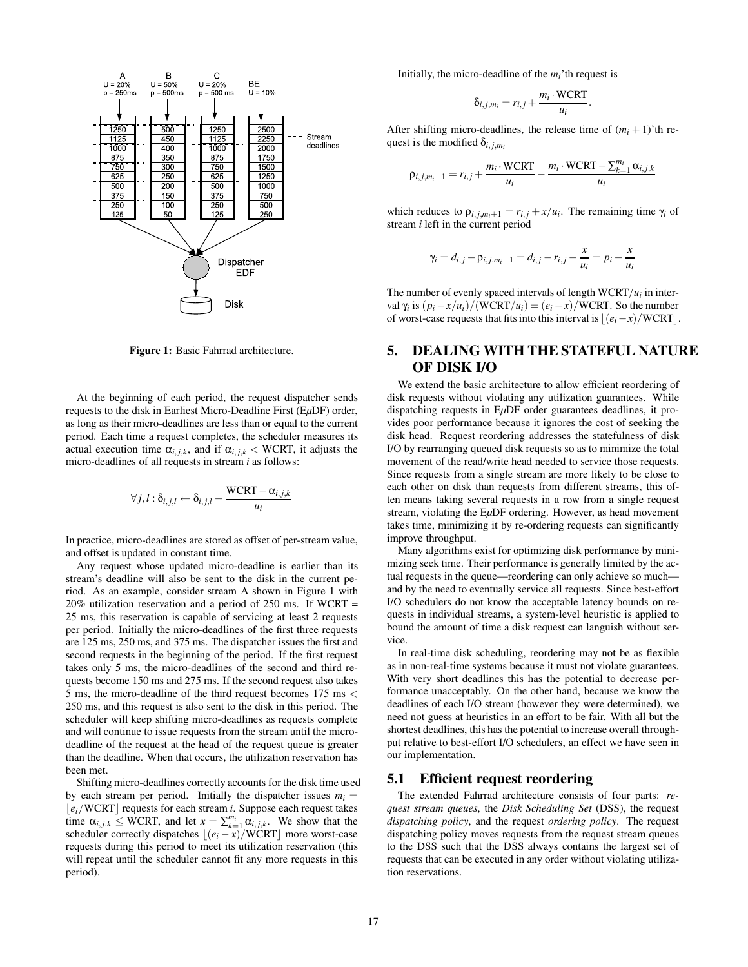

**Figure 1:** Basic Fahrrad architecture.

At the beginning of each period, the request dispatcher sends requests to the disk in Earliest Micro-Deadline First (E*µ*DF) order, as long as their micro-deadlines are less than or equal to the current period. Each time a request completes, the scheduler measures its actual execution time  $\alpha_{i,j,k}$ , and if  $\alpha_{i,j,k}$  < WCRT, it adjusts the micro-deadlines of all requests in stream *i* as follows:

$$
\forall j, l : \delta_{i,j,l} \leftarrow \delta_{i,j,l} - \frac{WCRT - \alpha_{i,j,k}}{u_i}
$$

In practice, micro-deadlines are stored as offset of per-stream value, and offset is updated in constant time.

Any request whose updated micro-deadline is earlier than its stream's deadline will also be sent to the disk in the current period. As an example, consider stream A shown in Figure 1 with 20% utilization reservation and a period of 250 ms. If WCRT = 25 ms, this reservation is capable of servicing at least 2 requests per period. Initially the micro-deadlines of the first three requests are 125 ms, 250 ms, and 375 ms. The dispatcher issues the first and second requests in the beginning of the period. If the first request takes only 5 ms, the micro-deadlines of the second and third requests become 150 ms and 275 ms. If the second request also takes 5 ms, the micro-deadline of the third request becomes 175 ms < 250 ms, and this request is also sent to the disk in this period. The scheduler will keep shifting micro-deadlines as requests complete and will continue to issue requests from the stream until the microdeadline of the request at the head of the request queue is greater than the deadline. When that occurs, the utilization reservation has been met.

Shifting micro-deadlines correctly accounts for the disk time used by each stream per period. Initially the dispatcher issues  $m_i =$  $|e_i/\text{WCRT}|$  requests for each stream *i*. Suppose each request takes time  $\alpha_{i,j,k} \leq \text{WCRT}$ , and let  $x = \sum_{k=1}^{m_i} \alpha_{i,j,k}$ . We show that the scheduler correctly dispatches  $\lfloor (e_i - x) / \text{WCRT} \rfloor$  more worst-case requests during this period to meet its utilization reservation (this will repeat until the scheduler cannot fit any more requests in this period).

Initially, the micro-deadline of the  $m<sub>i</sub>$ <sup>th</sup> request is

$$
\delta_{i,j,m_i} = r_{i,j} + \frac{m_i \cdot \text{WCRT}}{u_i}
$$

.

After shifting micro-deadlines, the release time of  $(m<sub>i</sub> + 1)$ 'th request is the modified  $\delta_{i,j,m_i}$ 

$$
\rho_{i,j,m_i+1} = r_{i,j} + \frac{m_i \cdot \text{WCRT}}{u_i} - \frac{m_i \cdot \text{WCRT} - \sum_{k=1}^{m_i} \alpha_{i,j,k}}{u_i}
$$

which reduces to  $\rho_{i,j,m_i+1} = r_{i,j} + x/u_i$ . The remaining time  $\gamma_i$  of stream *i* left in the current period

$$
\gamma_i = d_{i,j} - \rho_{i,j,m_i+1} = d_{i,j} - r_{i,j} - \frac{x}{u_i} = p_i - \frac{x}{u_i}
$$

The number of evenly spaced intervals of length WCRT/*ui* in interval  $\gamma_i$  is  $(p_i - x/u_i)/(WCRT/u_i) = (e_i - x)/WCRT$ . So the number of worst-case requests that fits into this interval is  $|(e_i-x)/WCRT|$ .

# **5. DEALING WITH THE STATEFUL NATURE OF DISK I/O**

We extend the basic architecture to allow efficient reordering of disk requests without violating any utilization guarantees. While dispatching requests in E*µ*DF order guarantees deadlines, it provides poor performance because it ignores the cost of seeking the disk head. Request reordering addresses the statefulness of disk I/O by rearranging queued disk requests so as to minimize the total movement of the read/write head needed to service those requests. Since requests from a single stream are more likely to be close to each other on disk than requests from different streams, this often means taking several requests in a row from a single request stream, violating the E*µ*DF ordering. However, as head movement takes time, minimizing it by re-ordering requests can significantly improve throughput.

Many algorithms exist for optimizing disk performance by minimizing seek time. Their performance is generally limited by the actual requests in the queue—reordering can only achieve so much and by the need to eventually service all requests. Since best-effort I/O schedulers do not know the acceptable latency bounds on requests in individual streams, a system-level heuristic is applied to bound the amount of time a disk request can languish without service.

In real-time disk scheduling, reordering may not be as flexible as in non-real-time systems because it must not violate guarantees. With very short deadlines this has the potential to decrease performance unacceptably. On the other hand, because we know the deadlines of each I/O stream (however they were determined), we need not guess at heuristics in an effort to be fair. With all but the shortest deadlines, this has the potential to increase overall throughput relative to best-effort I/O schedulers, an effect we have seen in our implementation.

#### **5.1 Efficient request reordering**

The extended Fahrrad architecture consists of four parts: *request stream queues*, the *Disk Scheduling Set* (DSS), the request *dispatching policy*, and the request *ordering policy*. The request dispatching policy moves requests from the request stream queues to the DSS such that the DSS always contains the largest set of requests that can be executed in any order without violating utilization reservations.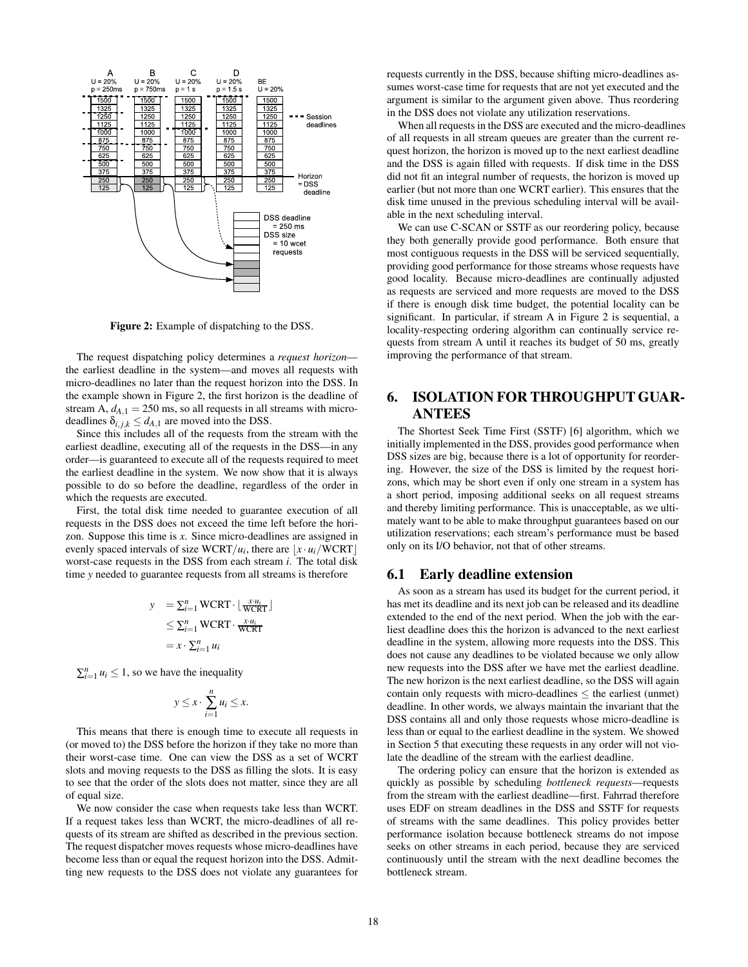

**Figure 2:** Example of dispatching to the DSS.

The request dispatching policy determines a *request horizon* the earliest deadline in the system—and moves all requests with micro-deadlines no later than the request horizon into the DSS. In the example shown in Figure 2, the first horizon is the deadline of stream A,  $d_{A,1} = 250$  ms, so all requests in all streams with microdeadlines  $\delta_{i,j,k} \leq d_{A,1}$  are moved into the DSS.

Since this includes all of the requests from the stream with the earliest deadline, executing all of the requests in the DSS—in any order—is guaranteed to execute all of the requests required to meet the earliest deadline in the system. We now show that it is always possible to do so before the deadline, regardless of the order in which the requests are executed.

First, the total disk time needed to guarantee execution of all requests in the DSS does not exceed the time left before the horizon. Suppose this time is *x*. Since micro-deadlines are assigned in evenly spaced intervals of size WCRT/ $u_i$ , there are  $|x \cdot u_i / \text{WCRT}|$ worst-case requests in the DSS from each stream *i*. The total disk time *y* needed to guarantee requests from all streams is therefore

$$
y = \sum_{i=1}^{n} WCRT \cdot \lfloor \frac{x \cdot u_i}{WCRT} \rfloor
$$
  
\n
$$
\leq \sum_{i=1}^{n} WCRT \cdot \frac{x \cdot u_i}{WCRT}
$$
  
\n
$$
= x \cdot \sum_{i=1}^{n} u_i
$$

 $\sum_{i=1}^{n} u_i \leq 1$ , so we have the inequality

$$
y \leq x \cdot \sum_{i=1}^{n} u_i \leq x.
$$

This means that there is enough time to execute all requests in (or moved to) the DSS before the horizon if they take no more than their worst-case time. One can view the DSS as a set of WCRT slots and moving requests to the DSS as filling the slots. It is easy to see that the order of the slots does not matter, since they are all of equal size.

We now consider the case when requests take less than WCRT. If a request takes less than WCRT, the micro-deadlines of all requests of its stream are shifted as described in the previous section. The request dispatcher moves requests whose micro-deadlines have become less than or equal the request horizon into the DSS. Admitting new requests to the DSS does not violate any guarantees for requests currently in the DSS, because shifting micro-deadlines assumes worst-case time for requests that are not yet executed and the argument is similar to the argument given above. Thus reordering in the DSS does not violate any utilization reservations.

When all requests in the DSS are executed and the micro-deadlines of all requests in all stream queues are greater than the current request horizon, the horizon is moved up to the next earliest deadline and the DSS is again filled with requests. If disk time in the DSS did not fit an integral number of requests, the horizon is moved up earlier (but not more than one WCRT earlier). This ensures that the disk time unused in the previous scheduling interval will be available in the next scheduling interval.

We can use C-SCAN or SSTF as our reordering policy, because they both generally provide good performance. Both ensure that most contiguous requests in the DSS will be serviced sequentially, providing good performance for those streams whose requests have good locality. Because micro-deadlines are continually adjusted as requests are serviced and more requests are moved to the DSS if there is enough disk time budget, the potential locality can be significant. In particular, if stream A in Figure 2 is sequential, a locality-respecting ordering algorithm can continually service requests from stream A until it reaches its budget of 50 ms, greatly improving the performance of that stream.

# **6. ISOLATION FOR THROUGHPUT GUAR-ANTEES**

The Shortest Seek Time First (SSTF) [6] algorithm, which we initially implemented in the DSS, provides good performance when DSS sizes are big, because there is a lot of opportunity for reordering. However, the size of the DSS is limited by the request horizons, which may be short even if only one stream in a system has a short period, imposing additional seeks on all request streams and thereby limiting performance. This is unacceptable, as we ultimately want to be able to make throughput guarantees based on our utilization reservations; each stream's performance must be based only on its I/O behavior, not that of other streams.

#### **6.1 Early deadline extension**

As soon as a stream has used its budget for the current period, it has met its deadline and its next job can be released and its deadline extended to the end of the next period. When the job with the earliest deadline does this the horizon is advanced to the next earliest deadline in the system, allowing more requests into the DSS. This does not cause any deadlines to be violated because we only allow new requests into the DSS after we have met the earliest deadline. The new horizon is the next earliest deadline, so the DSS will again contain only requests with micro-deadlines  $\leq$  the earliest (unmet) deadline. In other words, we always maintain the invariant that the DSS contains all and only those requests whose micro-deadline is less than or equal to the earliest deadline in the system. We showed in Section 5 that executing these requests in any order will not violate the deadline of the stream with the earliest deadline.

The ordering policy can ensure that the horizon is extended as quickly as possible by scheduling *bottleneck requests*—requests from the stream with the earliest deadline—first. Fahrrad therefore uses EDF on stream deadlines in the DSS and SSTF for requests of streams with the same deadlines. This policy provides better performance isolation because bottleneck streams do not impose seeks on other streams in each period, because they are serviced continuously until the stream with the next deadline becomes the bottleneck stream.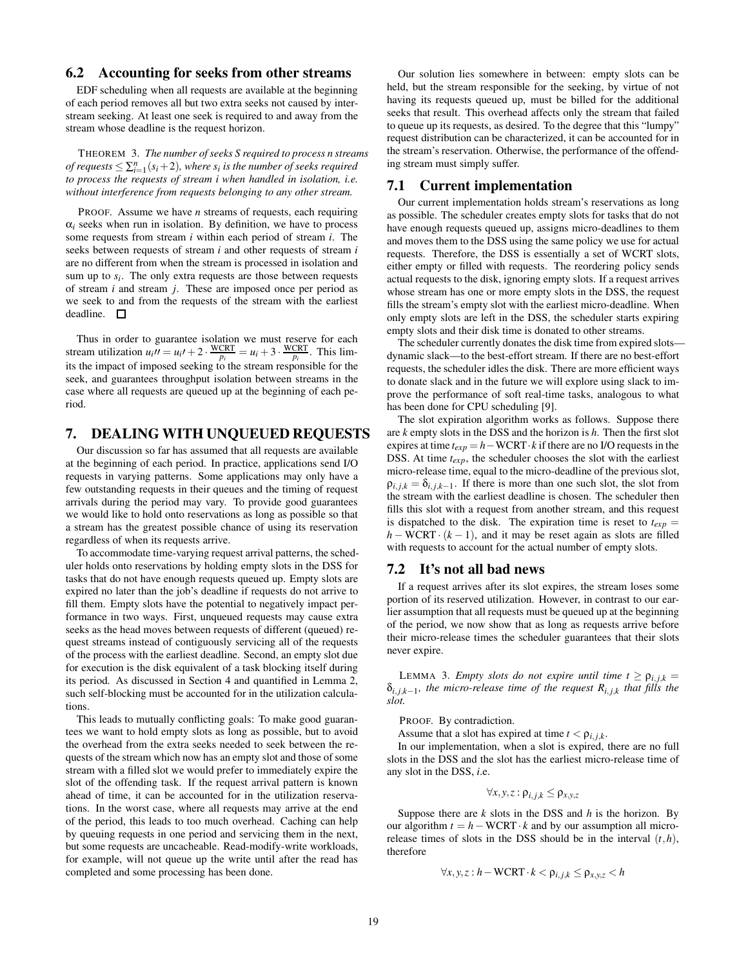# **6.2 Accounting for seeks from other streams**

EDF scheduling when all requests are available at the beginning of each period removes all but two extra seeks not caused by interstream seeking. At least one seek is required to and away from the stream whose deadline is the request horizon.

THEOREM 3. *The number of seeks S required to process n streams of requests*  $\leq \sum_{i=1}^{n} (s_i + 2)$ *, where*  $s_i$  *is the number of seeks required to process the requests of stream i when handled in isolation, i.e. without interference from requests belonging to any other stream.*

PROOF. Assume we have *n* streams of requests, each requiring  $\alpha_i$  seeks when run in isolation. By definition, we have to process some requests from stream *i* within each period of stream *i*. The seeks between requests of stream *i* and other requests of stream *i* are no different from when the stream is processed in isolation and sum up to *si*. The only extra requests are those between requests of stream *i* and stream *j*. These are imposed once per period as we seek to and from the requests of the stream with the earliest deadline.  $\square$ 

Thus in order to guarantee isolation we must reserve for each stream utilization  $u_i / \ell = u_i / + 2 \cdot \frac{WCRT}{p_i} = u_i + 3 \cdot \frac{WCRT}{p_i}$ . This limits the impact of imposed seeking to the stream responsible for the seek, and guarantees throughput isolation between streams in the case where all requests are queued up at the beginning of each period.

# **7. DEALING WITH UNQUEUED REQUESTS**

Our discussion so far has assumed that all requests are available at the beginning of each period. In practice, applications send I/O requests in varying patterns. Some applications may only have a few outstanding requests in their queues and the timing of request arrivals during the period may vary. To provide good guarantees we would like to hold onto reservations as long as possible so that a stream has the greatest possible chance of using its reservation regardless of when its requests arrive.

To accommodate time-varying request arrival patterns, the scheduler holds onto reservations by holding empty slots in the DSS for tasks that do not have enough requests queued up. Empty slots are expired no later than the job's deadline if requests do not arrive to fill them. Empty slots have the potential to negatively impact performance in two ways. First, unqueued requests may cause extra seeks as the head moves between requests of different (queued) request streams instead of contiguously servicing all of the requests of the process with the earliest deadline. Second, an empty slot due for execution is the disk equivalent of a task blocking itself during its period. As discussed in Section 4 and quantified in Lemma 2, such self-blocking must be accounted for in the utilization calculations.

This leads to mutually conflicting goals: To make good guarantees we want to hold empty slots as long as possible, but to avoid the overhead from the extra seeks needed to seek between the requests of the stream which now has an empty slot and those of some stream with a filled slot we would prefer to immediately expire the slot of the offending task. If the request arrival pattern is known ahead of time, it can be accounted for in the utilization reservations. In the worst case, where all requests may arrive at the end of the period, this leads to too much overhead. Caching can help by queuing requests in one period and servicing them in the next, but some requests are uncacheable. Read-modify-write workloads, for example, will not queue up the write until after the read has completed and some processing has been done.

Our solution lies somewhere in between: empty slots can be held, but the stream responsible for the seeking, by virtue of not having its requests queued up, must be billed for the additional seeks that result. This overhead affects only the stream that failed to queue up its requests, as desired. To the degree that this "lumpy" request distribution can be characterized, it can be accounted for in the stream's reservation. Otherwise, the performance of the offending stream must simply suffer.

#### **7.1 Current implementation**

Our current implementation holds stream's reservations as long as possible. The scheduler creates empty slots for tasks that do not have enough requests queued up, assigns micro-deadlines to them and moves them to the DSS using the same policy we use for actual requests. Therefore, the DSS is essentially a set of WCRT slots, either empty or filled with requests. The reordering policy sends actual requests to the disk, ignoring empty slots. If a request arrives whose stream has one or more empty slots in the DSS, the request fills the stream's empty slot with the earliest micro-deadline. When only empty slots are left in the DSS, the scheduler starts expiring empty slots and their disk time is donated to other streams.

The scheduler currently donates the disk time from expired slots dynamic slack—to the best-effort stream. If there are no best-effort requests, the scheduler idles the disk. There are more efficient ways to donate slack and in the future we will explore using slack to improve the performance of soft real-time tasks, analogous to what has been done for CPU scheduling [9].

The slot expiration algorithm works as follows. Suppose there are *k* empty slots in the DSS and the horizon is *h*. Then the first slot expires at time *texp* = *h*−WCRT·*k* if there are no I/O requests in the DSS. At time *texp*, the scheduler chooses the slot with the earliest micro-release time, equal to the micro-deadline of the previous slot,  $\rho_{i,j,k} = \delta_{i,j,k-1}$ . If there is more than one such slot, the slot from the stream with the earliest deadline is chosen. The scheduler then fills this slot with a request from another stream, and this request is dispatched to the disk. The expiration time is reset to  $t_{exp}$  =  $h$  − WCRT ·  $(k - 1)$ , and it may be reset again as slots are filled with requests to account for the actual number of empty slots.

#### **7.2 It's not all bad news**

If a request arrives after its slot expires, the stream loses some portion of its reserved utilization. However, in contrast to our earlier assumption that all requests must be queued up at the beginning of the period, we now show that as long as requests arrive before their micro-release times the scheduler guarantees that their slots never expire.

LEMMA 3. *Empty slots do not expire until time*  $t \ge \rho_{i,j,k}$  $\delta_{i,j,k-1}$ *, the micro-release time of the request*  $R_{i,j,k}$  *that fills the slot.*

PROOF. By contradiction.

Assume that a slot has expired at time  $t < \rho_{i,j,k}$ .

In our implementation, when a slot is expired, there are no full slots in the DSS and the slot has the earliest micro-release time of any slot in the DSS, *i*.e.

$$
\forall x,y,z: \rho_{i,j,k} \leq \rho_{x,y,z}
$$

Suppose there are *k* slots in the DSS and *h* is the horizon. By our algorithm  $t = h - WCRT \cdot k$  and by our assumption all microrelease times of slots in the DSS should be in the interval  $(t, h)$ , therefore

$$
\forall x, y, z : h - WCRT \cdot k < \rho_{i,j,k} \le \rho_{x,y,z} < h
$$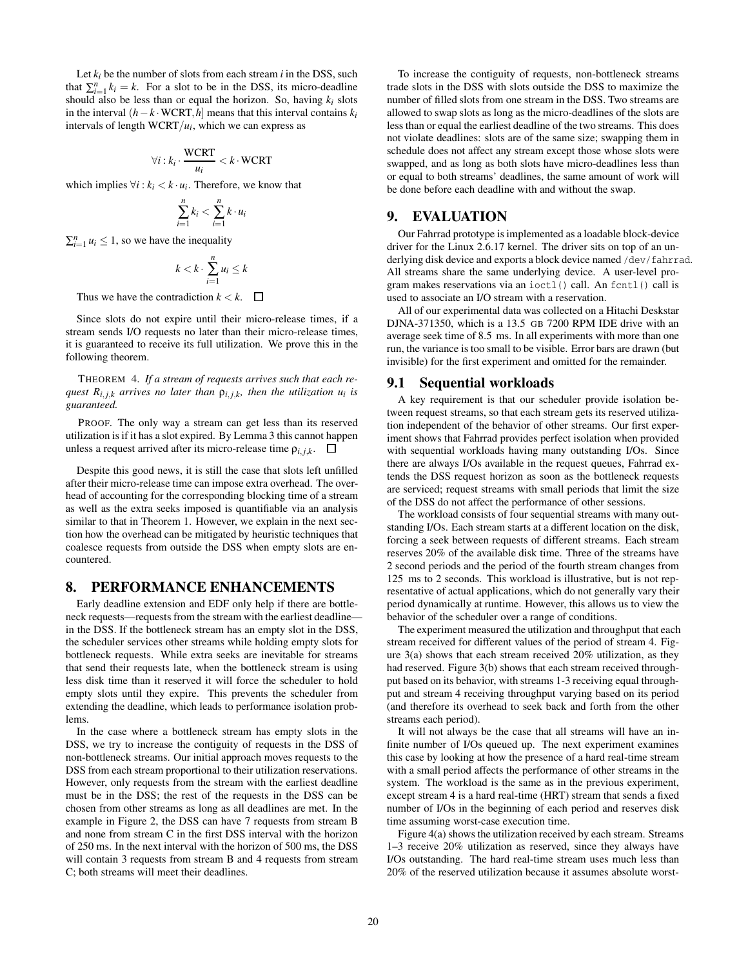Let  $k_i$  be the number of slots from each stream  $i$  in the DSS, such that  $\sum_{i=1}^{n} k_i = k$ . For a slot to be in the DSS, its micro-deadline should also be less than or equal the horizon. So, having  $k_i$  slots in the interval  $(h - k \cdot WCRT, h]$  means that this interval contains  $k_i$ intervals of length  $WCRT/u_i$ , which we can express as

$$
\forall i: k_i \cdot \frac{\text{WCRT}}{u_i} < k \cdot \text{WCRT}
$$

which implies  $\forall i : k_i < k \cdot u_i$ . Therefore, we know that

$$
\sum_{i=1}^n k_i < \sum_{i=1}^n k \cdot u_i
$$

 $\sum_{i=1}^{n} u_i \leq 1$ , so we have the inequality

$$
k < k \cdot \sum_{i=1}^{n} u_i \le
$$

 $k$ 

Thus we have the contradiction  $k < k$ .  $\Box$ 

Since slots do not expire until their micro-release times, if a stream sends I/O requests no later than their micro-release times, it is guaranteed to receive its full utilization. We prove this in the following theorem.

THEOREM 4. *If a stream of requests arrives such that each request*  $R_{i,j,k}$  *arrives no later than*  $\rho_{i,j,k}$ *, then the utilization*  $u_i$  *is guaranteed.*

PROOF. The only way a stream can get less than its reserved utilization is if it has a slot expired. By Lemma 3 this cannot happen unless a request arrived after its micro-release time  $\rho_{i,j,k}$ .  $\Box$ 

Despite this good news, it is still the case that slots left unfilled after their micro-release time can impose extra overhead. The overhead of accounting for the corresponding blocking time of a stream as well as the extra seeks imposed is quantifiable via an analysis similar to that in Theorem 1. However, we explain in the next section how the overhead can be mitigated by heuristic techniques that coalesce requests from outside the DSS when empty slots are encountered.

#### **8. PERFORMANCE ENHANCEMENTS**

Early deadline extension and EDF only help if there are bottleneck requests—requests from the stream with the earliest deadline in the DSS. If the bottleneck stream has an empty slot in the DSS, the scheduler services other streams while holding empty slots for bottleneck requests. While extra seeks are inevitable for streams that send their requests late, when the bottleneck stream is using less disk time than it reserved it will force the scheduler to hold empty slots until they expire. This prevents the scheduler from extending the deadline, which leads to performance isolation problems.

In the case where a bottleneck stream has empty slots in the DSS, we try to increase the contiguity of requests in the DSS of non-bottleneck streams. Our initial approach moves requests to the DSS from each stream proportional to their utilization reservations. However, only requests from the stream with the earliest deadline must be in the DSS; the rest of the requests in the DSS can be chosen from other streams as long as all deadlines are met. In the example in Figure 2, the DSS can have 7 requests from stream B and none from stream C in the first DSS interval with the horizon of 250 ms. In the next interval with the horizon of 500 ms, the DSS will contain 3 requests from stream B and 4 requests from stream C; both streams will meet their deadlines.

To increase the contiguity of requests, non-bottleneck streams trade slots in the DSS with slots outside the DSS to maximize the number of filled slots from one stream in the DSS. Two streams are allowed to swap slots as long as the micro-deadlines of the slots are less than or equal the earliest deadline of the two streams. This does not violate deadlines: slots are of the same size; swapping them in schedule does not affect any stream except those whose slots were swapped, and as long as both slots have micro-deadlines less than or equal to both streams' deadlines, the same amount of work will be done before each deadline with and without the swap.

# **9. EVALUATION**

Our Fahrrad prototype is implemented as a loadable block-device driver for the Linux 2.6.17 kernel. The driver sits on top of an underlying disk device and exports a block device named /dev/fahrrad. All streams share the same underlying device. A user-level program makes reservations via an ioctl() call. An fcntl() call is used to associate an I/O stream with a reservation.

All of our experimental data was collected on a Hitachi Deskstar DJNA-371350, which is a 13.5 GB 7200 RPM IDE drive with an average seek time of 8.5 ms. In all experiments with more than one run, the variance is too small to be visible. Error bars are drawn (but invisible) for the first experiment and omitted for the remainder.

#### **9.1 Sequential workloads**

A key requirement is that our scheduler provide isolation between request streams, so that each stream gets its reserved utilization independent of the behavior of other streams. Our first experiment shows that Fahrrad provides perfect isolation when provided with sequential workloads having many outstanding I/Os. Since there are always I/Os available in the request queues, Fahrrad extends the DSS request horizon as soon as the bottleneck requests are serviced; request streams with small periods that limit the size of the DSS do not affect the performance of other sessions.

The workload consists of four sequential streams with many outstanding I/Os. Each stream starts at a different location on the disk, forcing a seek between requests of different streams. Each stream reserves 20% of the available disk time. Three of the streams have 2 second periods and the period of the fourth stream changes from 125 ms to 2 seconds. This workload is illustrative, but is not representative of actual applications, which do not generally vary their period dynamically at runtime. However, this allows us to view the behavior of the scheduler over a range of conditions.

The experiment measured the utilization and throughput that each stream received for different values of the period of stream 4. Figure 3(a) shows that each stream received 20% utilization, as they had reserved. Figure 3(b) shows that each stream received throughput based on its behavior, with streams 1-3 receiving equal throughput and stream 4 receiving throughput varying based on its period (and therefore its overhead to seek back and forth from the other streams each period).

It will not always be the case that all streams will have an infinite number of I/Os queued up. The next experiment examines this case by looking at how the presence of a hard real-time stream with a small period affects the performance of other streams in the system. The workload is the same as in the previous experiment, except stream 4 is a hard real-time (HRT) stream that sends a fixed number of I/Os in the beginning of each period and reserves disk time assuming worst-case execution time.

Figure 4(a) shows the utilization received by each stream. Streams 1–3 receive 20% utilization as reserved, since they always have I/Os outstanding. The hard real-time stream uses much less than 20% of the reserved utilization because it assumes absolute worst-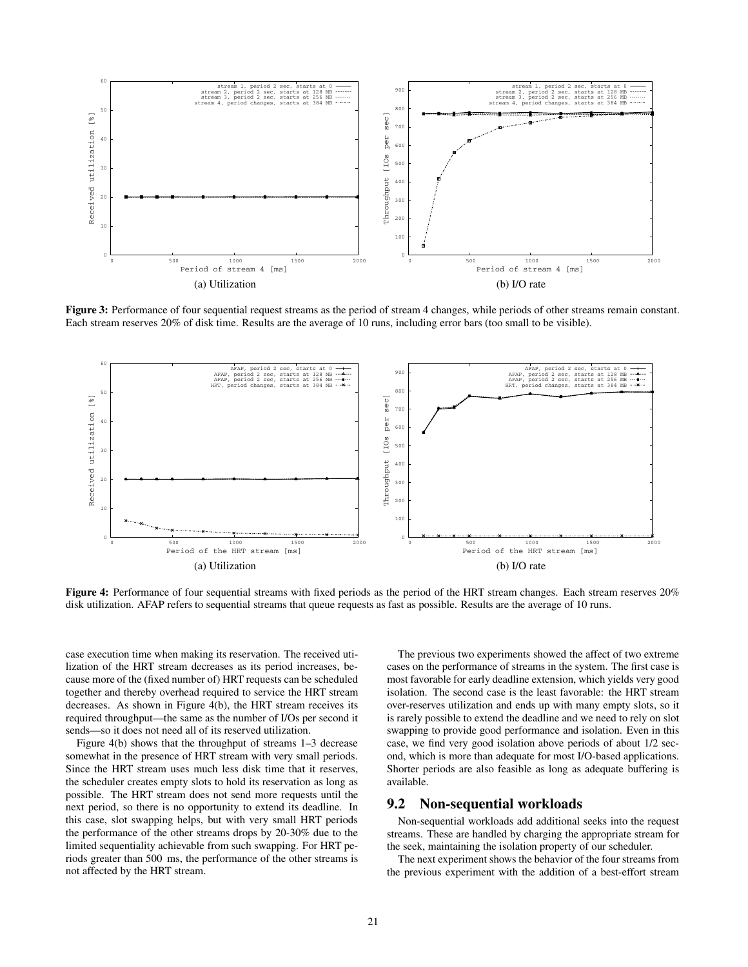

**Figure 3:** Performance of four sequential request streams as the period of stream 4 changes, while periods of other streams remain constant. Each stream reserves 20% of disk time. Results are the average of 10 runs, including error bars (too small to be visible).



**Figure 4:** Performance of four sequential streams with fixed periods as the period of the HRT stream changes. Each stream reserves 20% disk utilization. AFAP refers to sequential streams that queue requests as fast as possible. Results are the average of 10 runs.

case execution time when making its reservation. The received utilization of the HRT stream decreases as its period increases, because more of the (fixed number of) HRT requests can be scheduled together and thereby overhead required to service the HRT stream decreases. As shown in Figure 4(b), the HRT stream receives its required throughput—the same as the number of I/Os per second it sends—so it does not need all of its reserved utilization.

Figure 4(b) shows that the throughput of streams 1–3 decrease somewhat in the presence of HRT stream with very small periods. Since the HRT stream uses much less disk time that it reserves, the scheduler creates empty slots to hold its reservation as long as possible. The HRT stream does not send more requests until the next period, so there is no opportunity to extend its deadline. In this case, slot swapping helps, but with very small HRT periods the performance of the other streams drops by 20-30% due to the limited sequentiality achievable from such swapping. For HRT periods greater than 500 ms, the performance of the other streams is not affected by the HRT stream.

The previous two experiments showed the affect of two extreme cases on the performance of streams in the system. The first case is most favorable for early deadline extension, which yields very good isolation. The second case is the least favorable: the HRT stream over-reserves utilization and ends up with many empty slots, so it is rarely possible to extend the deadline and we need to rely on slot swapping to provide good performance and isolation. Even in this case, we find very good isolation above periods of about 1/2 second, which is more than adequate for most I/O-based applications. Shorter periods are also feasible as long as adequate buffering is available.

### **9.2 Non-sequential workloads**

Non-sequential workloads add additional seeks into the request streams. These are handled by charging the appropriate stream for the seek, maintaining the isolation property of our scheduler.

The next experiment shows the behavior of the four streams from the previous experiment with the addition of a best-effort stream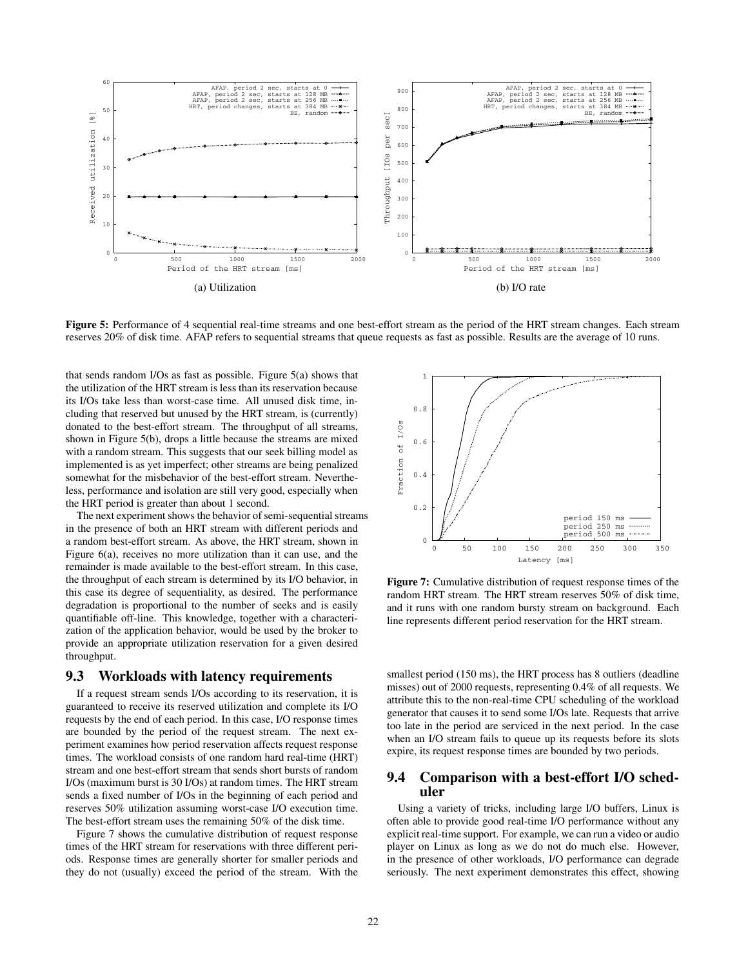

**Figure 5:** Performance of 4 sequential real-time streams and one best-effort stream as the period of the HRT stream changes. Each stream reserves 20% of disk time. AFAP refers to sequential streams that queue requests as fast as possible. Results are the average of 10 runs.

that sends random I/Os as fast as possible. Figure 5(a) shows that the utilization of the HRT stream is less than its reservation because its I/Os take less than worst-case time. All unused disk time, including that reserved but unused by the HRT stream, is (currently) donated to the best-effort stream. The throughput of all streams, shown in Figure 5(b), drops a little because the streams are mixed with a random stream. This suggests that our seek billing model as implemented is as yet imperfect; other streams are being penalized somewhat for the misbehavior of the best-effort stream. Nevertheless, performance and isolation are still very good, especially when the HRT period is greater than about 1 second.

The next experiment shows the behavior of semi-sequential streams in the presence of both an HRT stream with different periods and a random best-effort stream. As above, the HRT stream, shown in Figure 6(a), receives no more utilization than it can use, and the remainder is made available to the best-effort stream. In this case, the throughput of each stream is determined by its I/O behavior, in this case its degree of sequentiality, as desired. The performance degradation is proportional to the number of seeks and is easily quantifiable off-line. This knowledge, together with a characterization of the application behavior, would be used by the broker to provide an appropriate utilization reservation for a given desired throughput.

#### **9.3 Workloads with latency requirements**

If a request stream sends I/Os according to its reservation, it is guaranteed to receive its reserved utilization and complete its I/O requests by the end of each period. In this case, I/O response times are bounded by the period of the request stream. The next experiment examines how period reservation affects request response times. The workload consists of one random hard real-time (HRT) stream and one best-effort stream that sends short bursts of random I/Os (maximum burst is 30 I/Os) at random times. The HRT stream sends a fixed number of I/Os in the beginning of each period and reserves 50% utilization assuming worst-case I/O execution time. The best-effort stream uses the remaining 50% of the disk time.

Figure 7 shows the cumulative distribution of request response times of the HRT stream for reservations with three different periods. Response times are generally shorter for smaller periods and they do not (usually) exceed the period of the stream. With the



**Figure 7:** Cumulative distribution of request response times of the random HRT stream. The HRT stream reserves 50% of disk time, and it runs with one random bursty stream on background. Each line represents different period reservation for the HRT stream.

smallest period (150 ms), the HRT process has 8 outliers (deadline misses) out of 2000 requests, representing 0.4% of all requests. We attribute this to the non-real-time CPU scheduling of the workload generator that causes it to send some I/Os late. Requests that arrive too late in the period are serviced in the next period. In the case when an I/O stream fails to queue up its requests before its slots expire, its request response times are bounded by two periods.

# **9.4 Comparison with a best-effort I/O scheduler**

Using a variety of tricks, including large I/O buffers, Linux is often able to provide good real-time I/O performance without any explicit real-time support. For example, we can run a video or audio player on Linux as long as we do not do much else. However, in the presence of other workloads, I/O performance can degrade seriously. The next experiment demonstrates this effect, showing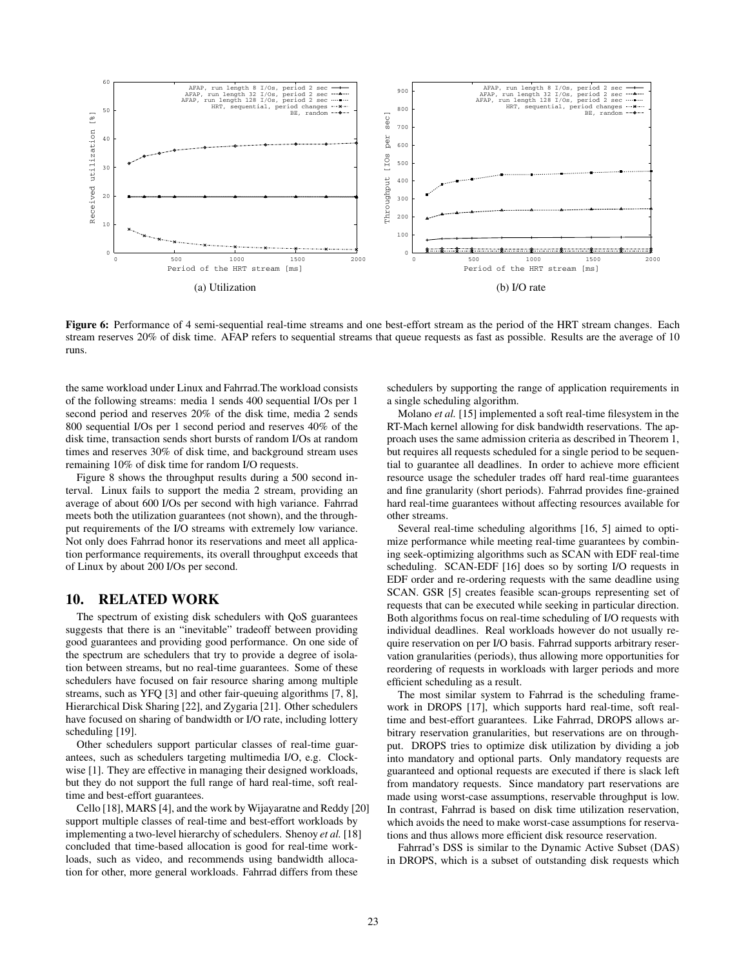

**Figure 6:** Performance of 4 semi-sequential real-time streams and one best-effort stream as the period of the HRT stream changes. Each stream reserves 20% of disk time. AFAP refers to sequential streams that queue requests as fast as possible. Results are the average of 10 runs.

the same workload under Linux and Fahrrad.The workload consists of the following streams: media 1 sends 400 sequential I/Os per 1 second period and reserves 20% of the disk time, media 2 sends 800 sequential I/Os per 1 second period and reserves 40% of the disk time, transaction sends short bursts of random I/Os at random times and reserves 30% of disk time, and background stream uses remaining 10% of disk time for random I/O requests.

Figure 8 shows the throughput results during a 500 second interval. Linux fails to support the media 2 stream, providing an average of about 600 I/Os per second with high variance. Fahrrad meets both the utilization guarantees (not shown), and the throughput requirements of the I/O streams with extremely low variance. Not only does Fahrrad honor its reservations and meet all application performance requirements, its overall throughput exceeds that of Linux by about 200 I/Os per second.

# **10. RELATED WORK**

The spectrum of existing disk schedulers with QoS guarantees suggests that there is an "inevitable" tradeoff between providing good guarantees and providing good performance. On one side of the spectrum are schedulers that try to provide a degree of isolation between streams, but no real-time guarantees. Some of these schedulers have focused on fair resource sharing among multiple streams, such as YFQ [3] and other fair-queuing algorithms [7, 8], Hierarchical Disk Sharing [22], and Zygaria [21]. Other schedulers have focused on sharing of bandwidth or I/O rate, including lottery scheduling [19].

Other schedulers support particular classes of real-time guarantees, such as schedulers targeting multimedia I/O, e.g. Clockwise [1]. They are effective in managing their designed workloads, but they do not support the full range of hard real-time, soft realtime and best-effort guarantees.

Cello [18], MARS [4], and the work by Wijayaratne and Reddy [20] support multiple classes of real-time and best-effort workloads by implementing a two-level hierarchy of schedulers. Shenoy *et al.* [18] concluded that time-based allocation is good for real-time workloads, such as video, and recommends using bandwidth allocation for other, more general workloads. Fahrrad differs from these

schedulers by supporting the range of application requirements in a single scheduling algorithm.

Molano *et al.* [15] implemented a soft real-time filesystem in the RT-Mach kernel allowing for disk bandwidth reservations. The approach uses the same admission criteria as described in Theorem 1, but requires all requests scheduled for a single period to be sequential to guarantee all deadlines. In order to achieve more efficient resource usage the scheduler trades off hard real-time guarantees and fine granularity (short periods). Fahrrad provides fine-grained hard real-time guarantees without affecting resources available for other streams.

Several real-time scheduling algorithms [16, 5] aimed to optimize performance while meeting real-time guarantees by combining seek-optimizing algorithms such as SCAN with EDF real-time scheduling. SCAN-EDF [16] does so by sorting I/O requests in EDF order and re-ordering requests with the same deadline using SCAN. GSR [5] creates feasible scan-groups representing set of requests that can be executed while seeking in particular direction. Both algorithms focus on real-time scheduling of I/O requests with individual deadlines. Real workloads however do not usually require reservation on per I/O basis. Fahrrad supports arbitrary reservation granularities (periods), thus allowing more opportunities for reordering of requests in workloads with larger periods and more efficient scheduling as a result.

The most similar system to Fahrrad is the scheduling framework in DROPS [17], which supports hard real-time, soft realtime and best-effort guarantees. Like Fahrrad, DROPS allows arbitrary reservation granularities, but reservations are on throughput. DROPS tries to optimize disk utilization by dividing a job into mandatory and optional parts. Only mandatory requests are guaranteed and optional requests are executed if there is slack left from mandatory requests. Since mandatory part reservations are made using worst-case assumptions, reservable throughput is low. In contrast, Fahrrad is based on disk time utilization reservation, which avoids the need to make worst-case assumptions for reservations and thus allows more efficient disk resource reservation.

Fahrrad's DSS is similar to the Dynamic Active Subset (DAS) in DROPS, which is a subset of outstanding disk requests which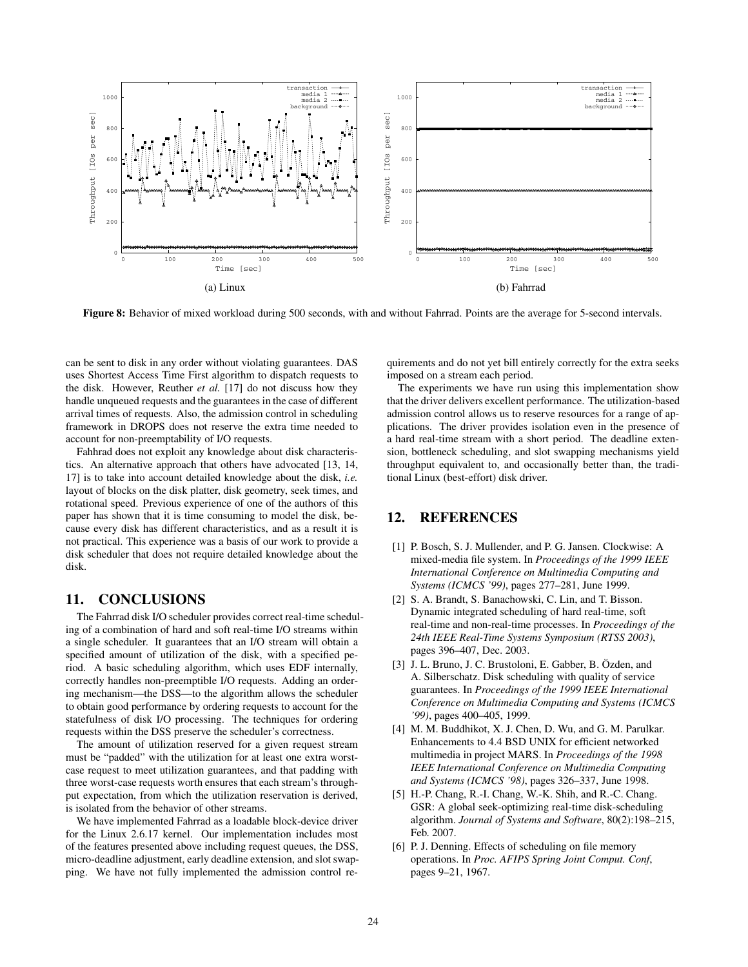

**Figure 8:** Behavior of mixed workload during 500 seconds, with and without Fahrrad. Points are the average for 5-second intervals.

can be sent to disk in any order without violating guarantees. DAS uses Shortest Access Time First algorithm to dispatch requests to the disk. However, Reuther *et al.* [17] do not discuss how they handle unqueued requests and the guarantees in the case of different arrival times of requests. Also, the admission control in scheduling framework in DROPS does not reserve the extra time needed to account for non-preemptability of I/O requests.

Fahhrad does not exploit any knowledge about disk characteristics. An alternative approach that others have advocated [13, 14, 17] is to take into account detailed knowledge about the disk, *i.e.* layout of blocks on the disk platter, disk geometry, seek times, and rotational speed. Previous experience of one of the authors of this paper has shown that it is time consuming to model the disk, because every disk has different characteristics, and as a result it is not practical. This experience was a basis of our work to provide a disk scheduler that does not require detailed knowledge about the disk.

# **11. CONCLUSIONS**

The Fahrrad disk I/O scheduler provides correct real-time scheduling of a combination of hard and soft real-time I/O streams within a single scheduler. It guarantees that an I/O stream will obtain a specified amount of utilization of the disk, with a specified period. A basic scheduling algorithm, which uses EDF internally, correctly handles non-preemptible I/O requests. Adding an ordering mechanism—the DSS—to the algorithm allows the scheduler to obtain good performance by ordering requests to account for the statefulness of disk I/O processing. The techniques for ordering requests within the DSS preserve the scheduler's correctness.

The amount of utilization reserved for a given request stream must be "padded" with the utilization for at least one extra worstcase request to meet utilization guarantees, and that padding with three worst-case requests worth ensures that each stream's throughput expectation, from which the utilization reservation is derived, is isolated from the behavior of other streams.

We have implemented Fahrrad as a loadable block-device driver for the Linux 2.6.17 kernel. Our implementation includes most of the features presented above including request queues, the DSS, micro-deadline adjustment, early deadline extension, and slot swapping. We have not fully implemented the admission control requirements and do not yet bill entirely correctly for the extra seeks imposed on a stream each period.

The experiments we have run using this implementation show that the driver delivers excellent performance. The utilization-based admission control allows us to reserve resources for a range of applications. The driver provides isolation even in the presence of a hard real-time stream with a short period. The deadline extension, bottleneck scheduling, and slot swapping mechanisms yield throughput equivalent to, and occasionally better than, the traditional Linux (best-effort) disk driver.

# **12. REFERENCES**

- [1] P. Bosch, S. J. Mullender, and P. G. Jansen. Clockwise: A mixed-media file system. In *Proceedings of the 1999 IEEE International Conference on Multimedia Computing and Systems (ICMCS '99)*, pages 277–281, June 1999.
- [2] S. A. Brandt, S. Banachowski, C. Lin, and T. Bisson. Dynamic integrated scheduling of hard real-time, soft real-time and non-real-time processes. In *Proceedings of the 24th IEEE Real-Time Systems Symposium (RTSS 2003)*, pages 396–407, Dec. 2003.
- [3] J. L. Bruno, J. C. Brustoloni, E. Gabber, B. Özden, and A. Silberschatz. Disk scheduling with quality of service guarantees. In *Proceedings of the 1999 IEEE International Conference on Multimedia Computing and Systems (ICMCS '99)*, pages 400–405, 1999.
- [4] M. M. Buddhikot, X. J. Chen, D. Wu, and G. M. Parulkar. Enhancements to 4.4 BSD UNIX for efficient networked multimedia in project MARS. In *Proceedings of the 1998 IEEE International Conference on Multimedia Computing and Systems (ICMCS '98)*, pages 326–337, June 1998.
- [5] H.-P. Chang, R.-I. Chang, W.-K. Shih, and R.-C. Chang. GSR: A global seek-optimizing real-time disk-scheduling algorithm. *Journal of Systems and Software*, 80(2):198–215, Feb. 2007.
- [6] P. J. Denning. Effects of scheduling on file memory operations. In *Proc. AFIPS Spring Joint Comput. Conf*, pages 9–21, 1967.